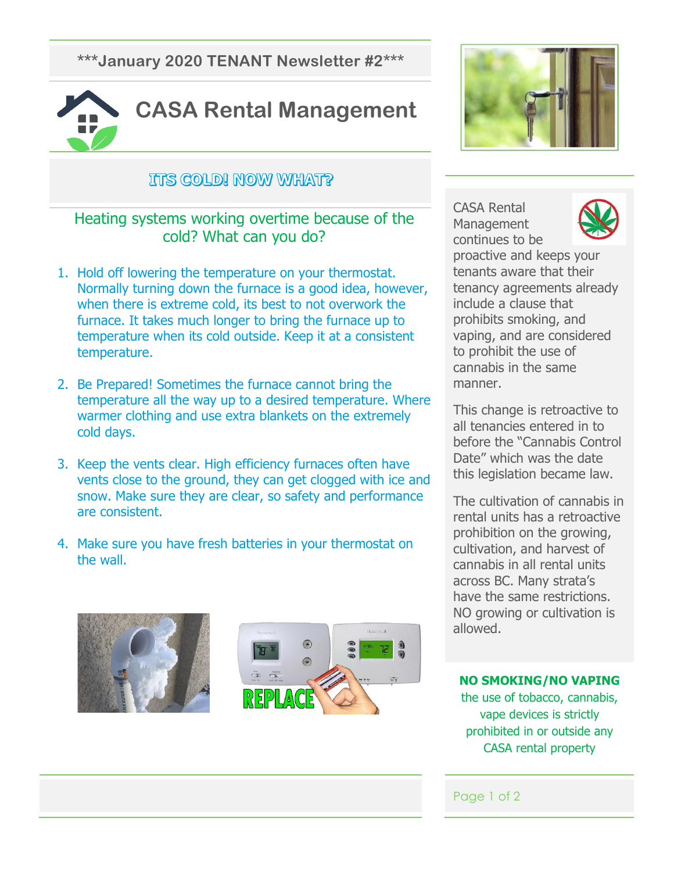**\*\*\*January 2020 TENANT Newsletter #2\*\*\***



**ITTS GOLD! NOW WHAT?** 

# Heating systems working overtime because of the cold? What can you do?

- 1. Hold off lowering the temperature on your thermostat. Normally turning down the furnace is a good idea, however, when there is extreme cold, its best to not overwork the furnace. It takes much longer to bring the furnace up to temperature when its cold outside. Keep it at a consistent temperature.
- 2. Be Prepared! Sometimes the furnace cannot bring the temperature all the way up to a desired temperature. Where warmer clothing and use extra blankets on the extremely cold days.
- 3. Keep the vents clear. High efficiency furnaces often have vents close to the ground, they can get clogged with ice and snow. Make sure they are clear, so safety and performance are consistent.
- 4. Make sure you have fresh batteries in your thermostat on the wall.







CASA Rental **Management** continues to be



proactive and keeps your tenants aware that their tenancy agreements already include a clause that prohibits smoking, and vaping, and are considered to prohibit the use of cannabis in the same manner.

This change is retroactive to all tenancies entered in to before the "Cannabis Control Date" which was the date this legislation became law.

The cultivation of cannabis in rental units has a retroactive prohibition on the growing, cultivation, and harvest of cannabis in all rental units across BC. Many strata's have the same restrictions. NO growing or cultivation is allowed.

**NO SMOKING/NO VAPING**

the use of tobacco, cannabis, vape devices is strictly prohibited in or outside any CASA rental property

Page 1 of 2